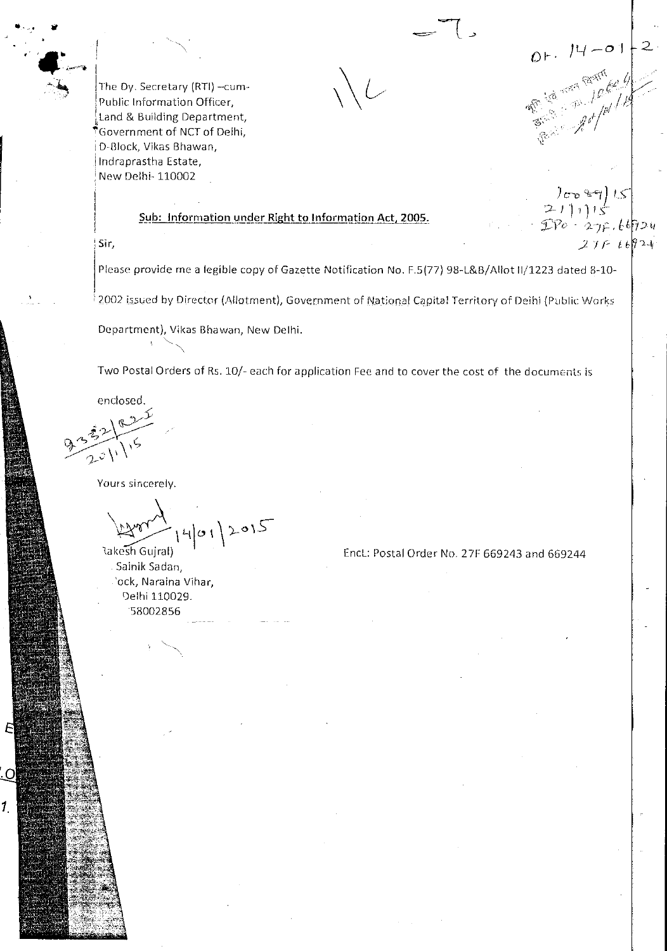$0.14 - 0.1$ <br>  $\frac{14}{\sqrt{6}}$ <br>  $\frac{16}{\sqrt{6}}$ <br>  $\frac{16}{\sqrt{6}}$ <br>  $\frac{16}{\sqrt{6}}$ 

The Dy. Secretary (RTI) - cum-Public Information Officer, Land & Building Department,  $\tilde{\mathcal{J}}$ Government of NCT of Delhi, D-Block, Vikas Bhawan, Indraprastha Estate, New Delhi-110002

## Sub: Information under Right to Information Act, 2005.

 $\frac{1}{(211)!}$  $DPo - 27f.66924$  $27F + 6824$ 

Sir,

Please provide me a legible copy of Gazette Notification No. F.5(77) 98-L&B/Allot II/1223 dated 8-10-

2002 issued by Director (Allotment), Government of National Capital Territory of Deihi (Public Works

Department), Vikas Bhawan, New Delhi.

Two Postal Orders of Rs. 10/- each for application Fee and to cover the cost of the documents is

enclosed.

O

1.

Yours sincerely.

Rakesh Gujral)

Sainik Sadan, 'ock, Naraina Vihar, Delhi 110029. 58002856

Encl.: Postal Order No. 27F 669243 and 669244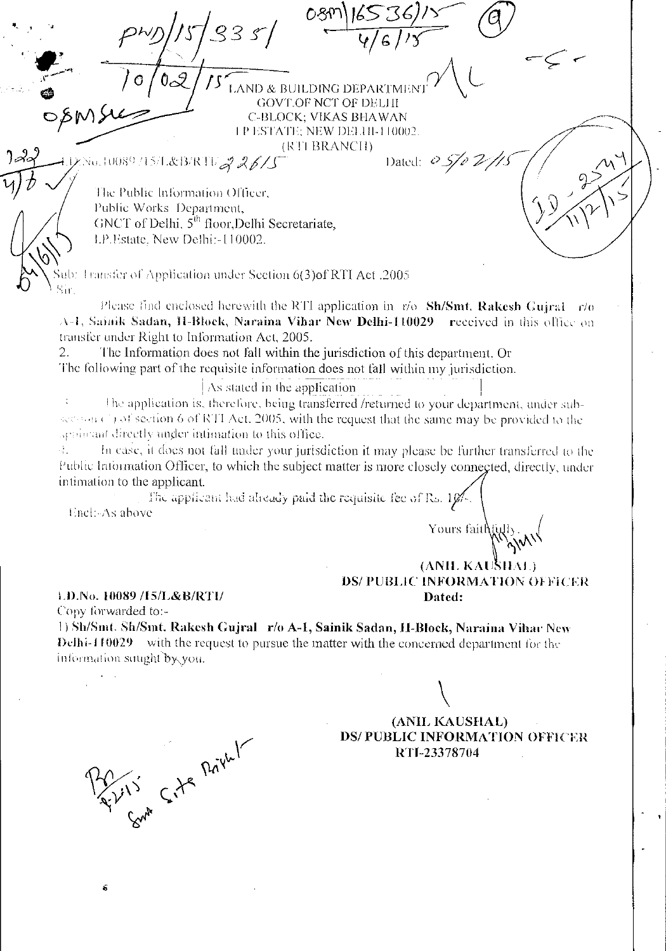**LAND & BUILDING DEPARTMENT GOVT.OF NCT OF DELHI** C-BLOCK; VIKAS BHAWAN 1 P ESTATE; NEW DELHI-110002. (RTI BRANCH) Dated:  $0.5/0.2$ //S vo.10089715/L&B/RTU<mark>A 26/S</mark> The Public Information Officer, Public Works Department, GNCT of Delhi, 5<sup>th</sup> floor, Delhi Secretariate, LP.Estate, New Delhi:-110002. ab: Transfer of Application under Section 6(3) of RTI Act. 2005 Sir Please find enclosed herewith the RTI application in  $r/\sigma$  Sh/Smt. Rakesh Guiral  $r/\sigma$ A-1, Sainik Sadan, H-Block, Naraina Vihar New Delhi-110029 received in this office on transfer under Right to Information Act, 2005. The Information does not fall within the jurisdiction of this department. Or  $\overline{2}$ . The following part of the requisite information does not fall within my jurisdiction. As stated in the application The application is, therefore, being transferred /returned to your department, under subsecond (1) of section 6 of RTI Act, 2005, with the request that the same may be provided to the applicant directly under infimation to this office. 47 In case, it does not fall under your jurisdiction it may please be further transferred to the Public Information Officer, to which the subject matter is more closely connected, directly, under intimation to the applicant. The applicant had already paid the requisite fee of  $\mathbb{R}_6$ ,  $10\%$ Encli-As above Yours faithf (ANIL KAUSHAL) DS/ PUBLIC INFORMATION OFFICER 1.D.No. 10089 /15/L&B/RTI/ Dated: Copy forwarded to:-1) Sh/Smt. Sh/Smt. Rakesh Gujral r/o A-1, Sainik Sadan, H-Block, Naraina Vihar New Delhi-110029 with the request to pursue the matter with the concerned department for the information squght by you. (ANIL KAUSHAL) inh Site Privat **DS/PUBLIC INFORMATION OFFICER** RTI-23378704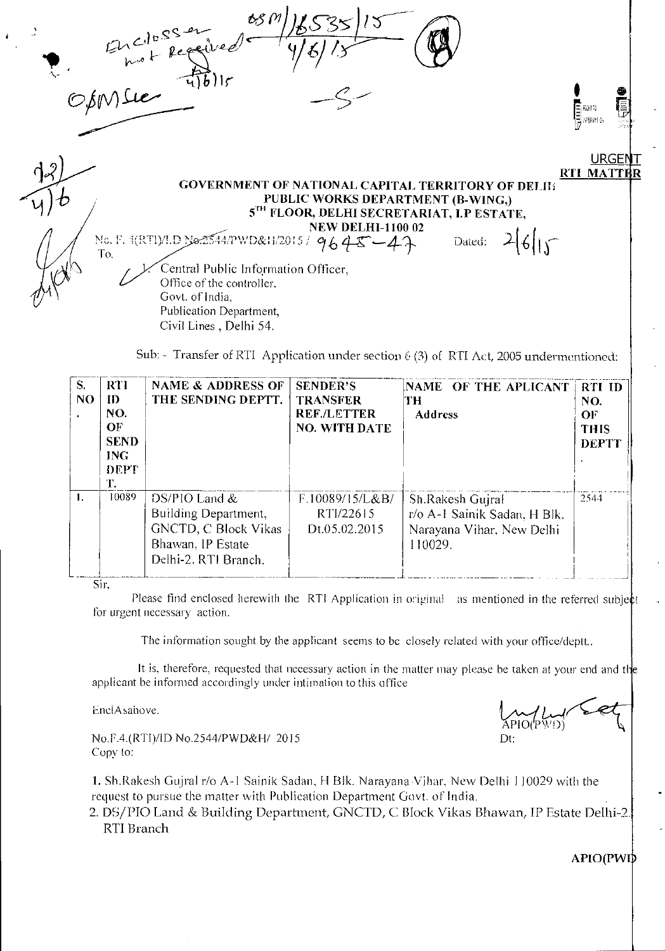| Enclossement de la 11                                                                  |                   |  |
|----------------------------------------------------------------------------------------|-------------------|--|
|                                                                                        | <b>URGENT</b>     |  |
|                                                                                        | <b>RTI MATTER</b> |  |
| GOVERNMENT OF NATIONAL CAPITAL TERRITORY OF DELIK<br>PUBLIC WORKS DEPARTMENT (B-WING,) |                   |  |
| 5TH FLOOR, DELHI SECRETARIAT, I.P ESTATE,                                              |                   |  |
| <b>NEW DELHI-1100 02</b>                                                               |                   |  |
| No. F. 1(RTI)/I.D No.2544/PWD&H/2015/9645-47<br>Dated:                                 |                   |  |
| To.<br>Central Public Information Officer,                                             |                   |  |
| Office of the controller,                                                              |                   |  |
| Govt. of India,                                                                        |                   |  |
| Publication Department,                                                                |                   |  |
| Civil Lines, Delhi 54.                                                                 |                   |  |
|                                                                                        |                   |  |

Sub: - Transfer of RTI Application under section 6 (3) of RTI Act, 2005 undermentioned:

| S.<br>NO. | <b>RTI</b><br>ID<br>NO.<br>$\overline{\text{OF}}$<br><b>SEND</b><br><b>ING</b><br>DEPT<br>Ŧ. | <b>NAME &amp; ADDRESS OF</b><br>THE SENDING DEPTT.                                                                  | <b>SENDER'S</b><br><b>TRANSFER</b><br><b>REF./LETTER</b><br><b>NO. WITH DATE</b> | NAME OF THE APLICANT<br>TH<br><b>Address</b>                                             | <b>RTI ID</b><br>NO.<br>OF<br><b>THIS</b><br><b>DEPTT</b> |
|-----------|----------------------------------------------------------------------------------------------|---------------------------------------------------------------------------------------------------------------------|----------------------------------------------------------------------------------|------------------------------------------------------------------------------------------|-----------------------------------------------------------|
| Ъ.        | 10089                                                                                        | DS/PIO Land $&$<br>Building Department,<br><b>GNCTD, C Block Vikas</b><br>Bhawan, IP Estate<br>Delhi-2. RTI Branch. | F.10089/15/L&B/<br>RTI/22615<br>Dt.05.02.2015                                    | Sh.Rakesh Gujral<br>r/o A-I Sainik Sadan, H Blk.<br>Narayana Vihar, New Delhi<br>110029. | 2544                                                      |

Sir,

 $\pmb{\cdot}$ 

Please find enclosed herewith the RTI Application in original as mentioned in the referred subject for urgent necessary action.

The information sought by the applicant seems to be closely related with your office/deptt..

It is, therefore, requested that necessary action in the matter may please be taken at your end and the applicant be informed accordingly under intimation to this office

LinelAsaboye.

No.F.4.(RTI)/ID No.2544/PWD&H/ 2015 Copy to:

I. Sh.Rakesh Gujral r/o A-1 Sainik Sadan, H Blk. Narayana Vihar, New Delhi 110029 with the request to pursue the matter with Publication Department Govt. of India.

2. DS/PIO Land & Building Department, GNCTD, C. Block Vikas Bhawan, IP Estate Delhi-2. RTI Branch

APIO(PWI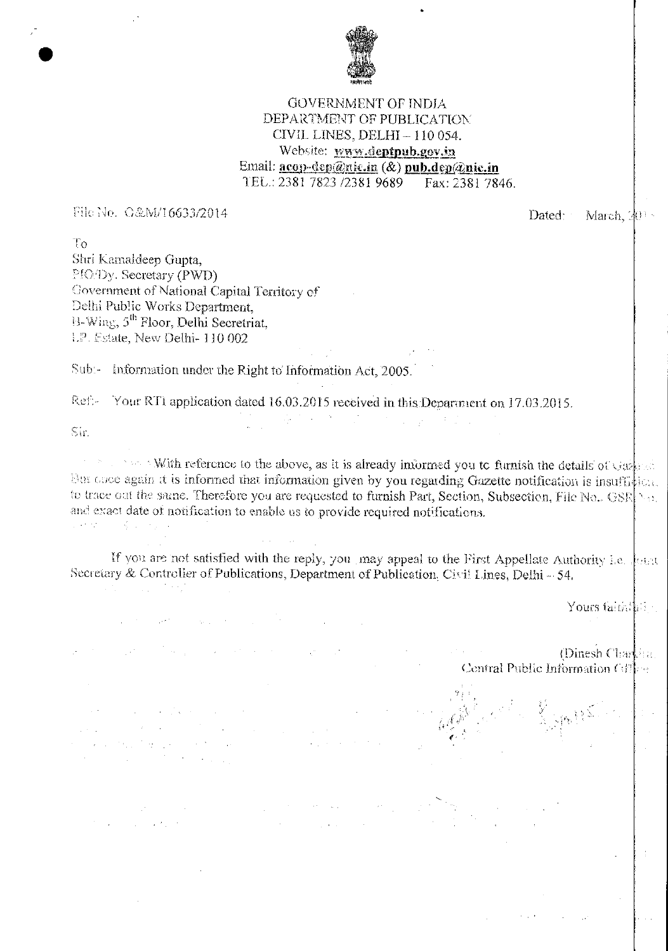

## GOVERNMENT OF INDIA DEPARTMENT OF PUBLICATION CIVIL LINES, DELHI —110 054. Website: www.deptpub.gov.in Email: **acop-dep@nic.in** (&) **pub.dep@nic.in** TEL.: 2381 7823 /2381 9689 Fax: 2381 7846.

File No. C&M/16633/2014  $Dated: Maxch, 20$ 

To Shri Kamaldeep Gupta, PIO/Dy. Secretary (PWD) Government of National Capital Territory of Delhi Public Works Department,  $11-Wing$ ,  $5<sup>th</sup> Floor$ , Delhi Secretriat, Estate, New Delhi- 110 002

Sub:- Information under the Right to Information Act, 2005.

 $\label{eq:2.1} \mathcal{L}^{\mathcal{A}}(\mathcal{A}^{\mathcal{A}}_{\mathcal{A}}) = \mathcal{L}^{\mathcal{A}}(\mathcal{A}^{\mathcal{A}}_{\mathcal{A}}) = \mathcal{L}^{\mathcal{A}}(\mathcal{A}^{\mathcal{A}}_{\mathcal{A}}) = \mathcal{L}^{\mathcal{A}}(\mathcal{A}^{\mathcal{A}}_{\mathcal{A}}) = \mathcal{L}^{\mathcal{A}}(\mathcal{A}^{\mathcal{A}}_{\mathcal{A}}) = \mathcal{L}^{\mathcal{A}}(\mathcal{A}^{\mathcal{A}}_{\mathcal{A}}) = \$ 

 $\mathcal{L}_{\text{max}}$  , where  $\mathcal{L}_{\text{max}}$ 

anders de la propietat de la propietat de la propietat de la propietat de la propietat de la propietat de la p<br>La propietat de la propietat de la propietat de la propietat de la propietat de la propietat de la propietat d

 $\label{eq:2.1} \frac{1}{2}\int_{\mathbb{R}^3} \frac{1}{\sqrt{2\pi}}\int_{\mathbb{R}^3} \frac{1}{\sqrt{2\pi}}\int_{\mathbb{R}^3} \frac{1}{\sqrt{2\pi}}\int_{\mathbb{R}^3} \frac{1}{\sqrt{2\pi}}\int_{\mathbb{R}^3} \frac{1}{\sqrt{2\pi}}\int_{\mathbb{R}^3} \frac{1}{\sqrt{2\pi}}\int_{\mathbb{R}^3} \frac{1}{\sqrt{2\pi}}\int_{\mathbb{R}^3} \frac{1}{\sqrt{2\pi}}\int_{\mathbb{R}^3} \$ 

 $\label{eq:2.1} \mathcal{L}^{\mathcal{A}}_{\mathcal{A}}(\mathcal{A}) = \mathcal{L}^{\mathcal{A}}_{\mathcal{A}}(\mathcal{A}) = \mathcal{L}^{\mathcal{A}}_{\mathcal{A}}(\mathcal{A}) = \mathcal{L}^{\mathcal{A}}_{\mathcal{A}}(\mathcal{A}) = \mathcal{L}^{\mathcal{A}}_{\mathcal{A}}(\mathcal{A}) = \mathcal{L}^{\mathcal{A}}_{\mathcal{A}}(\mathcal{A})$ 

 $\mathcal{L}(\mathcal{A})$  and  $\mathcal{L}(\mathcal{A})$  are the set of the set of  $\mathcal{L}(\mathcal{A})$ 

 $\sigma_{\rm{max}}=1.00$  and  $\sigma_{\rm{max}}=0.001$ 

Ref. Your RTI application dated 16.03.2015 received in this Department on 17.03.2015.

 $S_{\rm eff}$ 

•

 $\mathbb{R}^n$  is a switch reference to the above, as it is already informed you to furnish the details of Gaspeed How once again it is informed that information given by you regarding Gazette notification is insufficient. to trace out the same. Therefore you are requested to furnish Part, Section, Subsection, File No..  $GSR$ and exact date of notification to enable us to provide required notifications.

 $\label{eq:3.1} \begin{split} \mathcal{L}^{\text{max}}_{\mathcal{A}}(\mathcal{A}) & = \mathcal{L}^{\text{max}}_{\mathcal{A}}(\mathcal{A}) + \mathcal{L}^{\text{max}}_{\mathcal{A}}(\mathcal{A}) + \mathcal{L}^{\text{max}}_{\mathcal{A}}(\mathcal{A}) + \mathcal{L}^{\text{max}}_{\mathcal{A}}(\mathcal{A}) \end{split}$ 

If you are not satisfied with the reply, you may appeal to the First Appellate Authority i.e.  $\|$ Secretary & Controller of Publications, Department of Publication, Civil Lines, Delhi - 54,

 $\label{eq:2.1} \mathcal{L}(\mathbf{y}) = \mathcal{L}(\mathbf{y}) + \mathcal{L}(\mathbf{y}) + \mathcal{L}(\mathbf{y}) + \mathcal{L}(\mathbf{y}) = \mathcal{L}(\mathbf{y})$ 

Yours faith that

(Dinesh Chartha) Central Public Information  $\text{Gil}_{\text{eff}}$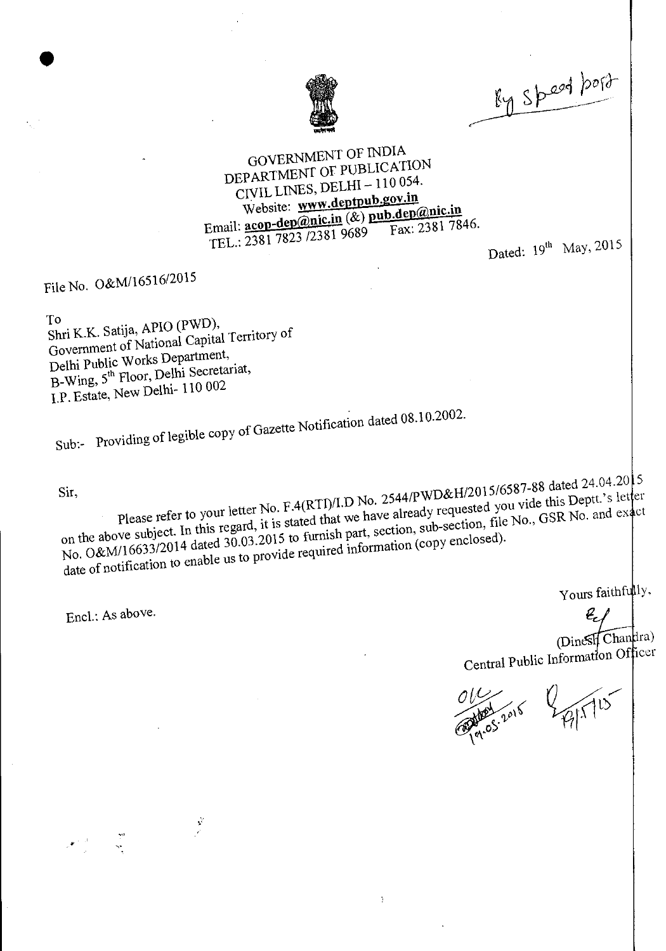

By speed bord

## GOVERNMENT OF INDIA DEPARTMENT OF PUBLICATION CIVIL LINES, DELHI —110 054. Website: www.deptpub.gov.in CIVIL LINES, DEETI<br>Website: www.deptpub.gov.if<br>Email: <u>acop-dep@nic.in</u> (&) pub.de <u>nb.gov.in</u><br>p<u>ub.dep@nic.in</u><br>Fax: 2381 7846 TEL.: 2381 7823 /2381 9689 Fax: 2381 7846.

Dated:  $19^{th}$  May, 2015

File No. O&M/16516/2015

•

To<br>Shri K.K. Satija, APIO (PWD),  $\sum_{k=1}^{\infty} K_k$ . Satija, APIO (PWD), Government of National Capital Territory of Delhi Public Works Department, B-Wing, 5<sup>th</sup> Floor, Delhi Secretariat, I.P. Estate, New Delhi- 110 002

 $\mathbf{y}^{\prime}$ 

 $S_{\text{S}}$  is the of legible copy of Gazette Notification date 02.

 $P_{\text{left}} \propto P_{\text{right}}$  No.  $P_{\text{right}}$  we have  $P_{\text{right}}$  we denote this Deptt. S let please refer to your letter. It is stated that we have already requestion file No., GSR No. and  $\epsilon_{\text{A}}$ on the above subject. In this regard,  $\frac{125}{120.03.2015}$  to furnish part, section, sub-section,  $\frac{120.03}{120.03.2015}$ date of notification to enable us to provide required information (copy enclosed). Sir, 5  $_{\rm cl}$ 

Encl.: As above.

Yours faithfully,

(Dinesit Chandra) Central Public Information Officer

P/1 15 Appl 2015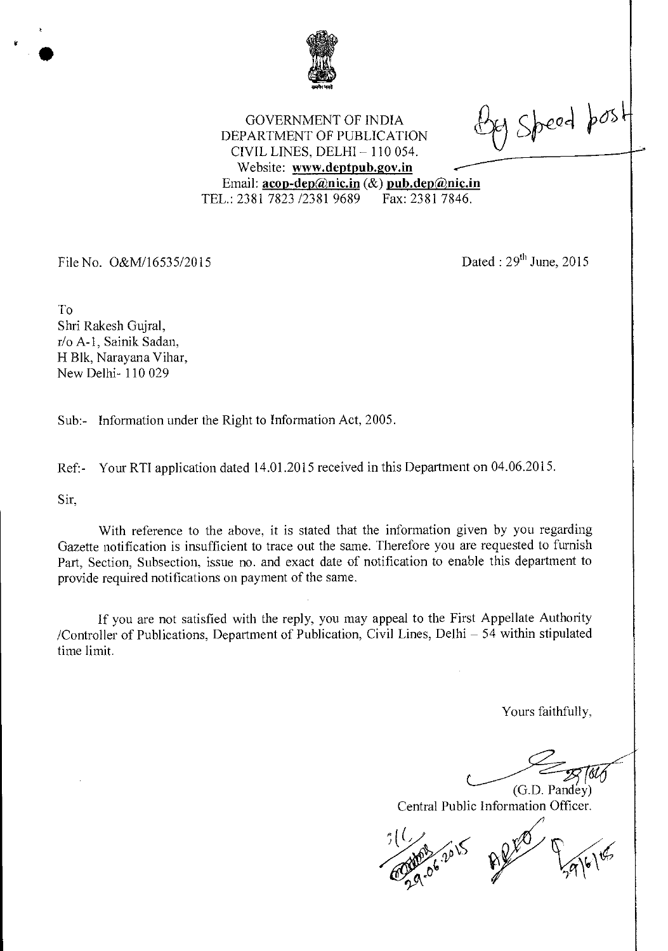

 $e$ y Speed post

GOVERNMENT OF INDIA DEPARTMENT OF PUBLICATION CIVIL LINES, DELHI — 110 054. Website: www.deptpub.gov.in Email: **acop-dep@nic.in** (&) **pub.dep@nic.in**<br>L.: 2381 7823 /2381 9689 Fax: 2381 7846. TEL.: 2381 7823 /2381 9689

File No.  $O&M/16535/2015$  Dated :  $29<sup>th</sup>$  June, 2015

To Shri Rakesh Gujral, r/o A-1, Sainik Sadan, H Blk, Narayana Vihar, New Delhi- 110 029

Sub:- Information under the Right to Information Act, 2005.

Ref:- Your RTI application dated 14.01.2015 received in this Department on 04.06.2015.

Sir,

With reference to the above, it is stated that the information given by you regarding Gazette notification is insufficient to trace out the same. Therefore you are requested to furnish Part, Section, Subsection, issue no. and exact date of notification to enable this department to provide required notifications on payment of the same.

If you are not satisfied with the reply, you may appeal to the First Appellate Authority /Controller of Publications, Department of Publication, Civil Lines, Delhi — 54 within stipulated time limit.

Yours faithfully,

(G.D. Pandey) Central Public Information Officer.

 $-96$